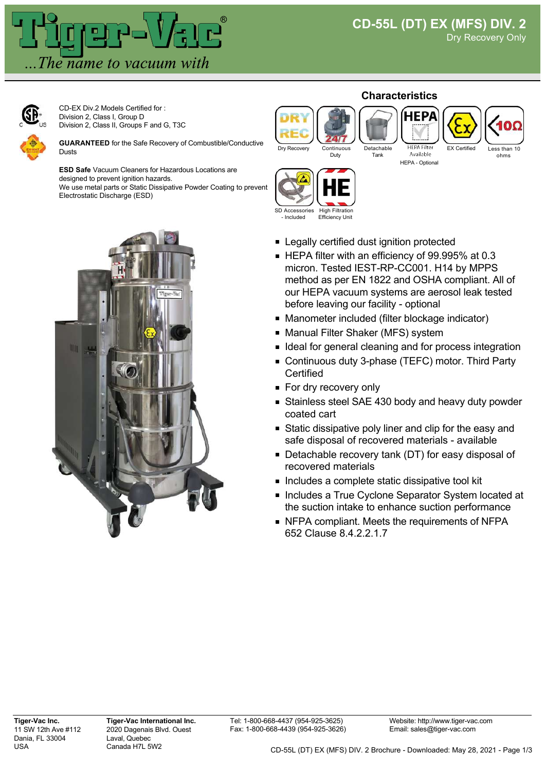



CD-EX Div.2 Models Certified for : Division 2, Class I, Group D Division 2, Class II, Groups F and G, T3C

**GUARANTEED** for the Safe Recovery of Combustible/Conductive Dusts

**ESD Safe** Vacuum Cleaners for Hazardous Locations are designed to prevent ignition hazards. We use metal parts or Static Dissipative Powder Coating to prevent Electrostatic Discharge (ESD)



## **Characteristics**





HEPA - Optional



SD Accessories - Included High Filtration Efficiency Unit

- **Example 2** Legally certified dust ignition protected
- HEPA filter with an efficiency of 99.995% at 0.3 micron. Tested IEST-RP-CC001. H14 by MPPS method as per EN 1822 and OSHA compliant. All of our HEPA vacuum systems are aerosol leak tested before leaving our facility - optional
- **Manometer included (filter blockage indicator)**
- Manual Filter Shaker (MFS) system
- I Ideal for general cleaning and for process integration
- Continuous duty 3-phase (TEFC) motor. Third Party **Certified**
- **For dry recovery only**
- **Stainless steel SAE 430 body and heavy duty powder** coated cart
- Static dissipative poly liner and clip for the easy and safe disposal of recovered materials - available
- Detachable recovery tank (DT) for easy disposal of recovered materials
- **Includes a complete static dissipative tool kit**
- **Includes a True Cyclone Separator System located at** the suction intake to enhance suction performance
- NFPA compliant. Meets the requirements of NFPA 652 Clause 8.4.2.2.1.7

**Tiger-Vac International Inc.** 2020 Dagenais Blvd. Ouest Laval, Quebec Canada H7L 5W2

Website: http://www.tiger-vac.com Email: sales@tiger-vac.com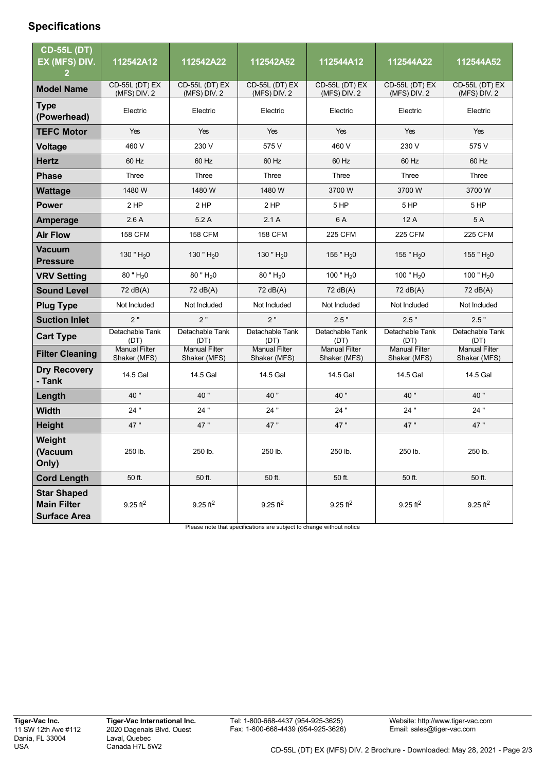## **Specifications**

| <b>CD-55L (DT)</b><br>EX (MFS) DIV.                             | 112542A12                             | 112542A22                            | 112542A52                            | 112544A12                            | 112544A22                             | 112544A52                            |
|-----------------------------------------------------------------|---------------------------------------|--------------------------------------|--------------------------------------|--------------------------------------|---------------------------------------|--------------------------------------|
| <b>Model Name</b>                                               | <b>CD-55L (DT) EX</b><br>(MFS) DIV. 2 | CD-55L (DT) EX<br>(MFS) DIV. 2       | CD-55L (DT) EX<br>(MFS) DIV. 2       | CD-55L (DT) EX<br>(MFS) DIV. 2       | <b>CD-55L (DT) EX</b><br>(MFS) DIV. 2 | CD-55L (DT) EX<br>(MFS) DIV. 2       |
| <b>Type</b><br>(Powerhead)                                      | Electric                              | Electric                             | Electric                             | Electric                             | Electric                              | Electric                             |
| <b>TEFC Motor</b>                                               | Yes                                   | Yes                                  | Yes                                  | Yes                                  | Yes                                   | Yes                                  |
| <b>Voltage</b>                                                  | 460 V                                 | 230 V                                | 575 V                                | 460 V                                | 230 V                                 | 575 V                                |
| <b>Hertz</b>                                                    | 60 Hz                                 | 60 Hz                                | 60 Hz                                | 60 Hz                                | 60 Hz                                 | 60 Hz                                |
| <b>Phase</b>                                                    | Three                                 | Three                                | Three                                | Three                                | Three                                 | Three                                |
| <b>Wattage</b>                                                  | 1480 W                                | 1480 W                               | 1480 W                               | 3700 W                               | 3700 W                                | 3700 W                               |
| <b>Power</b>                                                    | 2 HP                                  | $2$ HP                               | 2HP                                  | 5 HP                                 | 5 HP                                  | 5 HP                                 |
| <b>Amperage</b>                                                 | 2.6A                                  | 5.2A                                 | 2.1A                                 | 6 A                                  | 12 A                                  | 5 A                                  |
| <b>Air Flow</b>                                                 | <b>158 CFM</b>                        | <b>158 CFM</b>                       | <b>158 CFM</b>                       | 225 CFM                              | <b>225 CFM</b>                        | 225 CFM                              |
| <b>Vacuum</b><br><b>Pressure</b>                                | 130 " $H_2$ 0                         | 130 " $H20$                          | 130 " $H20$                          | 155 " $H_2$ 0                        | 155 " $H_2$ 0                         | 155 " $H_2$ 0                        |
| <b>VRV Setting</b>                                              | $80$ " $H20$                          | 80 " H <sub>2</sub> 0                | 80 " H <sub>2</sub> 0                | 100" $H_2$ 0                         | 100 " $H_2$ 0                         | 100 " $H20$                          |
| <b>Sound Level</b>                                              | 72 dB(A)                              | 72 dB(A)                             | 72 dB(A)                             | 72 dB(A)                             | 72 dB(A)                              | 72 dB(A)                             |
| <b>Plug Type</b>                                                | Not Included                          | Not Included                         | Not Included                         | Not Included                         | Not Included                          | Not Included                         |
| <b>Suction Inlet</b>                                            | 2"                                    | 2"                                   | 2"                                   | 2.5"                                 | 2.5"                                  | 2.5"                                 |
| <b>Cart Type</b>                                                | Detachable Tank<br>(DT)               | Detachable Tank<br>(DT)              | Detachable Tank<br>(DT)              | Detachable Tank<br>(DT)              | Detachable Tank<br>(DT)               | Detachable Tank<br>(DT)              |
| <b>Filter Cleaning</b>                                          | <b>Manual Filter</b><br>Shaker (MFS)  | <b>Manual Filter</b><br>Shaker (MFS) | <b>Manual Filter</b><br>Shaker (MFS) | <b>Manual Filter</b><br>Shaker (MFS) | <b>Manual Filter</b><br>Shaker (MFS)  | <b>Manual Filter</b><br>Shaker (MFS) |
| <b>Dry Recovery</b><br>- Tank                                   | 14.5 Gal                              | 14.5 Gal                             | 14.5 Gal                             | 14.5 Gal                             | 14.5 Gal                              | 14.5 Gal                             |
| Length                                                          | 40"                                   | 40"                                  | 40"                                  | 40"                                  | 40"                                   | 40 "                                 |
| <b>Width</b>                                                    | 24"                                   | 24"                                  | 24"                                  | 24 "                                 | 24 "                                  | 24 "                                 |
| <b>Height</b>                                                   | 47"                                   | 47"                                  | 47 "                                 | 47"                                  | 47"                                   | 47 "                                 |
| Weight<br>(Vacuum<br>Only)                                      | 250 lb.                               | 250 lb.                              | 250 lb.                              | 250 lb.                              | 250 lb.                               | 250 lb.                              |
| <b>Cord Length</b>                                              | 50 ft.                                | 50 ft.                               | 50 ft.                               | 50 ft.                               | 50 ft.                                | 50 ft.                               |
| <b>Star Shaped</b><br><b>Main Filter</b><br><b>Surface Area</b> | $9.25$ ft <sup>2</sup>                | $9.25$ ft <sup>2</sup>               | $9.25$ ft <sup>2</sup>               | $9.25 \text{ ft}^2$                  | $9.25$ ft <sup>2</sup>                | $9.25$ ft <sup>2</sup>               |

Please note that specifications are subject to change without notice